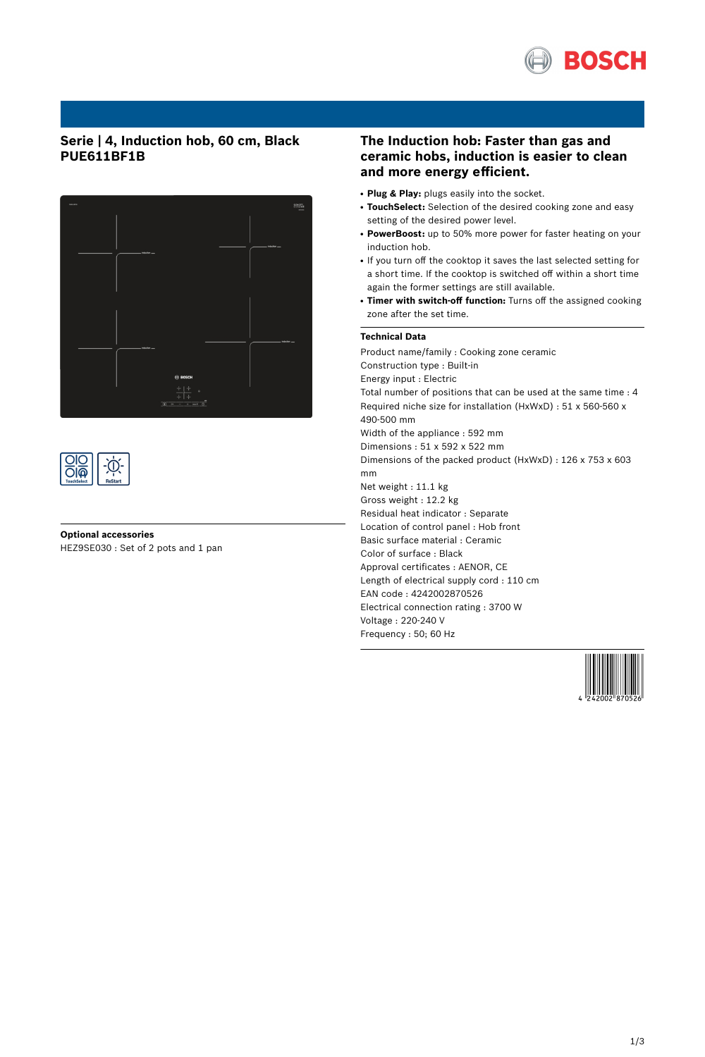

## **Serie | 4, Induction hob, 60 cm, Black PUE611BF1B**





**Optional accessories** HEZ9SE030 : Set of 2 pots and 1 pan

### **The Induction hob: Faster than gas and ceramic hobs, induction is easier to clean and more energy efficient.**

- **Plug & Play:** plugs easily into the socket.
- TouchSelect: Selection of the desired cooking zone and easy setting of the desired power level.
- **PowerBoost:** up to 50% more power for faster heating on your induction hob.
- If you turn off the cooktop it saves the last selected setting for a short time. If the cooktop is switched off within a short time again the former settings are still available.
- **Timer with switch-off function:** Turns off the assigned cooking zone after the set time.

#### **Technical Data**

Product name/family : Cooking zone ceramic Construction type : Built-in Energy input : Electric Total number of positions that can be used at the same time : 4 Required niche size for installation (HxWxD) : 51 x 560-560 x 490-500 mm Width of the appliance : 592 mm Dimensions : 51 x 592 x 522 mm Dimensions of the packed product (HxWxD) : 126 x 753 x 603 mm Net weight : 11.1 kg Gross weight : 12.2 kg Residual heat indicator : Separate Location of control panel : Hob front Basic surface material : Ceramic Color of surface : Black Approval certificates : AENOR, CE Length of electrical supply cord : 110 cm EAN code : 4242002870526 Electrical connection rating : 3700 W Voltage : 220-240 V Frequency : 50; 60 Hz

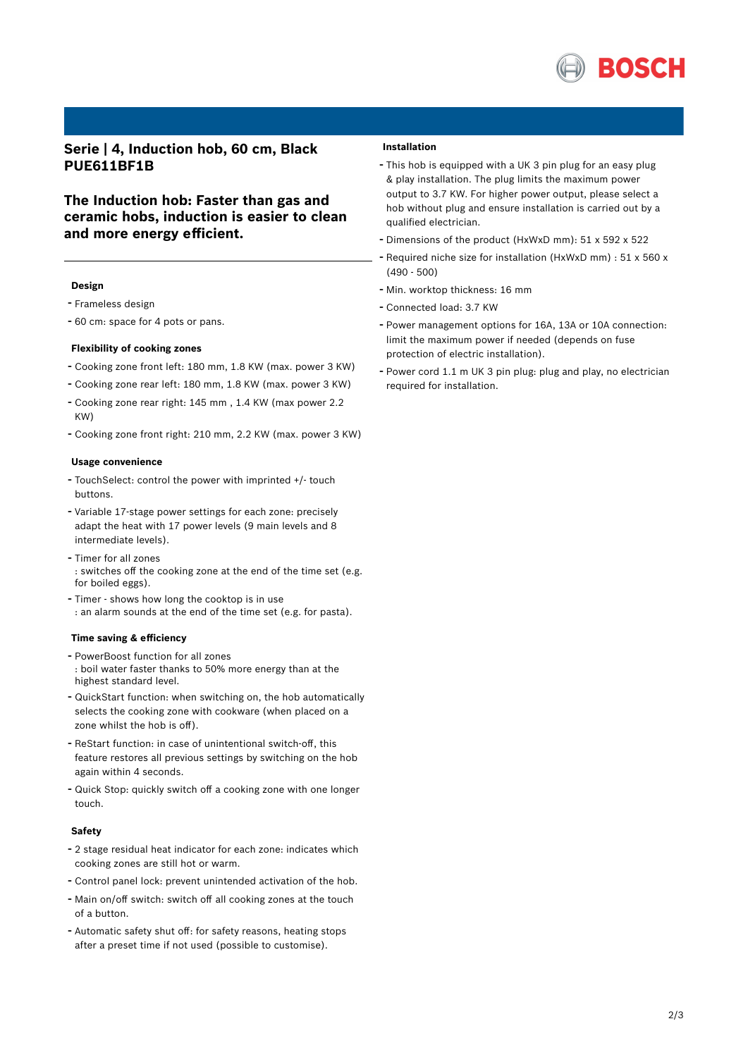

**Serie | 4, Induction hob, 60 cm, Black PUE611BF1B**

**The Induction hob: Faster than gas and ceramic hobs, induction is easier to clean and more energy efficient.**

#### **Design**

- Frameless design
- <sup>60</sup> cm: space for <sup>4</sup> pots or pans.

#### **Flexibility of cooking zones**

- Cooking zone front left: <sup>180</sup> mm, 1.8 KW (max. power <sup>3</sup> KW)
- Cooking zone rear left: <sup>180</sup> mm, 1.8 KW (max. power <sup>3</sup> KW)
- Cooking zone rear right: <sup>145</sup> mm , 1.4 KW (max power 2.2 KW)
- Cooking zone front right: <sup>210</sup> mm, 2.2 KW (max. power <sup>3</sup> KW)

#### **Usage convenience**

- TouchSelect: control the power with imprinted +/- touch buttons.
- Variable 17-stage power settings for each zone: precisely adapt the heat with 17 power levels (9 main levels and 8 intermediate levels).
- Timer for all zones : switches off the cooking zone at the end of the time set (e.g. for boiled eggs).
- Timer shows how long the cooktop is in use : an alarm sounds at the end of the time set (e.g. for pasta).

#### **Time saving & efficiency**

- PowerBoost function for all zones : boil water faster thanks to 50% more energy than at the highest standard level.
- QuickStart function: when switching on, the hob automatically selects the cooking zone with cookware (when placed on a zone whilst the hob is off).
- ReStart function: in case of unintentional switch-off, this feature restores all previous settings by switching on the hob again within 4 seconds.
- Quick Stop: quickly switch off <sup>a</sup> cooking zone with one longer touch.

#### **Safety**

- <sup>2</sup> stage residual heat indicator for each zone: indicates which cooking zones are still hot or warm.
- Control panel lock: prevent unintended activation of the hob.
- Main on/off switch: switch off all cooking zones at the touch of a button.
- Automatic safety shut off: for safety reasons, heating stops after a preset time if not used (possible to customise).

#### **Installation**

- This hob is equipped with <sup>a</sup> UK <sup>3</sup> pin plug for an easy plug & play installation. The plug limits the maximum power output to 3.7 KW. For higher power output, please select a hob without plug and ensure installation is carried out by a qualified electrician.
- Dimensions of the product (HxWxD mm): <sup>51</sup> <sup>x</sup> <sup>592</sup> <sup>x</sup> <sup>522</sup>
- Required niche size for installation (HxWxD mm) : <sup>51</sup> <sup>x</sup> <sup>560</sup> <sup>x</sup>  $(490 - 500)$
- Min. worktop thickness: <sup>16</sup> mm
- Connected load: 3.7 KW
- Power management options for 16A, 13A or 10A connection: limit the maximum power if needed (depends on fuse protection of electric installation).
- Power cord 1.1 <sup>m</sup> UK <sup>3</sup> pin plug: plug and play, no electrician required for installation.